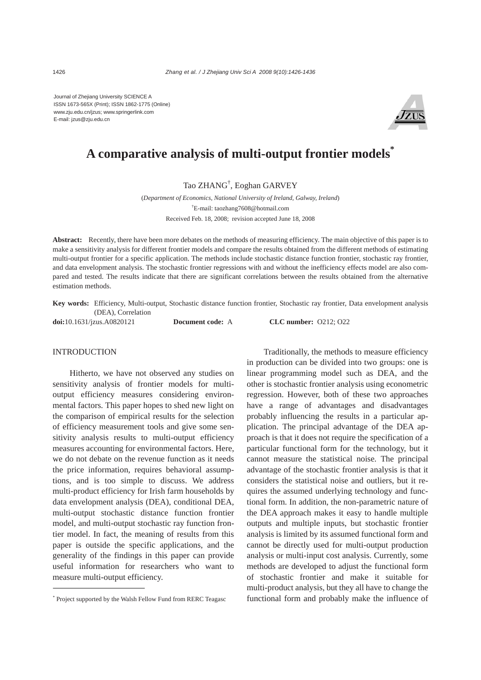Journal of Zhejiang University SCIENCE A ISSN 1673-565X (Print); ISSN 1862-1775 (Online) www.zju.edu.cn/jzus; www.springerlink.com E-mail: jzus@zju.edu.cn



# **A comparative analysis of multi-output frontier models\***

# Tao ZHANG† , Eoghan GARVEY

(*Department of Economics, National University of Ireland, Galway, Ireland*) † E-mail: taozhang7608@hotmail.com Received Feb. 18, 2008; revision accepted June 18, 2008

**Abstract:** Recently, there have been more debates on the methods of measuring efficiency. The main objective of this paper is to make a sensitivity analysis for different frontier models and compare the results obtained from the different methods of estimating multi-output frontier for a specific application. The methods include stochastic distance function frontier, stochastic ray frontier, and data envelopment analysis. The stochastic frontier regressions with and without the inefficiency effects model are also compared and tested. The results indicate that there are significant correlations between the results obtained from the alternative estimation methods.

**Key words:** Efficiency, Multi-output, Stochastic distance function frontier, Stochastic ray frontier, Data envelopment analysis (DEA), Correlation **doi:**10.1631/jzus.A0820121 **Document code:** A **CLC number:** O212; O22

### **INTRODUCTION**

Hitherto, we have not observed any studies on sensitivity analysis of frontier models for multioutput efficiency measures considering environmental factors. This paper hopes to shed new light on the comparison of empirical results for the selection of efficiency measurement tools and give some sensitivity analysis results to multi-output efficiency measures accounting for environmental factors. Here, we do not debate on the revenue function as it needs the price information, requires behavioral assumptions, and is too simple to discuss. We address multi-product efficiency for Irish farm households by data envelopment analysis (DEA), conditional DEA, multi-output stochastic distance function frontier model, and multi-output stochastic ray function frontier model. In fact, the meaning of results from this paper is outside the specific applications, and the generality of the findings in this paper can provide useful information for researchers who want to measure multi-output efficiency.

Traditionally, the methods to measure efficiency in production can be divided into two groups: one is linear programming model such as DEA, and the other is stochastic frontier analysis using econometric regression. However, both of these two approaches have a range of advantages and disadvantages probably influencing the results in a particular application. The principal advantage of the DEA approach is that it does not require the specification of a particular functional form for the technology, but it cannot measure the statistical noise. The principal advantage of the stochastic frontier analysis is that it considers the statistical noise and outliers, but it requires the assumed underlying technology and functional form. In addition, the non-parametric nature of the DEA approach makes it easy to handle multiple outputs and multiple inputs, but stochastic frontier analysis is limited by its assumed functional form and cannot be directly used for multi-output production analysis or multi-input cost analysis. Currently, some methods are developed to adjust the functional form of stochastic frontier and make it suitable for multi-product analysis, but they all have to change the functional form and probably make the influence of

<sup>\*</sup> Project supported by the Walsh Fellow Fund from RERC Teagasc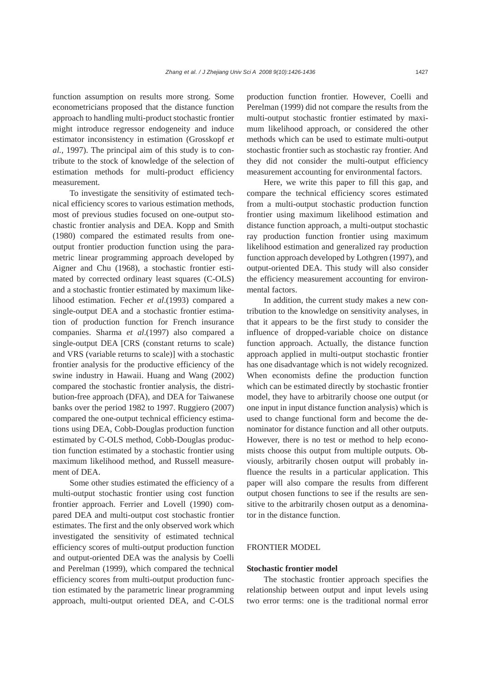function assumption on results more strong. Some econometricians proposed that the distance function approach to handling multi-product stochastic frontier might introduce regressor endogeneity and induce estimator inconsistency in estimation (Grosskopf *et al.*, 1997). The principal aim of this study is to contribute to the stock of knowledge of the selection of estimation methods for multi-product efficiency measurement.

To investigate the sensitivity of estimated technical efficiency scores to various estimation methods, most of previous studies focused on one-output stochastic frontier analysis and DEA. Kopp and Smith (1980) compared the estimated results from oneoutput frontier production function using the parametric linear programming approach developed by Aigner and Chu (1968), a stochastic frontier estimated by corrected ordinary least squares (C-OLS) and a stochastic frontier estimated by maximum likelihood estimation. Fecher *et al*.(1993) compared a single-output DEA and a stochastic frontier estimation of production function for French insurance companies. Sharma *et al*.(1997) also compared a single-output DEA [CRS (constant returns to scale) and VRS (variable returns to scale)] with a stochastic frontier analysis for the productive efficiency of the swine industry in Hawaii. Huang and Wang (2002) compared the stochastic frontier analysis, the distribution-free approach (DFA), and DEA for Taiwanese banks over the period 1982 to 1997. Ruggiero (2007) compared the one-output technical efficiency estimations using DEA, Cobb-Douglas production function estimated by C-OLS method, Cobb-Douglas production function estimated by a stochastic frontier using maximum likelihood method, and Russell measurement of DEA.

Some other studies estimated the efficiency of a multi-output stochastic frontier using cost function frontier approach. Ferrier and Lovell (1990) compared DEA and multi-output cost stochastic frontier estimates. The first and the only observed work which investigated the sensitivity of estimated technical efficiency scores of multi-output production function and output-oriented DEA was the analysis by Coelli and Perelman (1999), which compared the technical efficiency scores from multi-output production function estimated by the parametric linear programming approach, multi-output oriented DEA, and C-OLS

production function frontier. However, Coelli and Perelman (1999) did not compare the results from the multi-output stochastic frontier estimated by maximum likelihood approach, or considered the other methods which can be used to estimate multi-output stochastic frontier such as stochastic ray frontier. And they did not consider the multi-output efficiency measurement accounting for environmental factors.

Here, we write this paper to fill this gap, and compare the technical efficiency scores estimated from a multi-output stochastic production function frontier using maximum likelihood estimation and distance function approach, a multi-output stochastic ray production function frontier using maximum likelihood estimation and generalized ray production function approach developed by Lothgren (1997), and output-oriented DEA. This study will also consider the efficiency measurement accounting for environmental factors.

In addition, the current study makes a new contribution to the knowledge on sensitivity analyses, in that it appears to be the first study to consider the influence of dropped-variable choice on distance function approach. Actually, the distance function approach applied in multi-output stochastic frontier has one disadvantage which is not widely recognized. When economists define the production function which can be estimated directly by stochastic frontier model, they have to arbitrarily choose one output (or one input in input distance function analysis) which is used to change functional form and become the denominator for distance function and all other outputs. However, there is no test or method to help economists choose this output from multiple outputs. Obviously, arbitrarily chosen output will probably influence the results in a particular application. This paper will also compare the results from different output chosen functions to see if the results are sensitive to the arbitrarily chosen output as a denominator in the distance function.

## FRONTIER MODEL

#### **Stochastic frontier model**

The stochastic frontier approach specifies the relationship between output and input levels using two error terms: one is the traditional normal error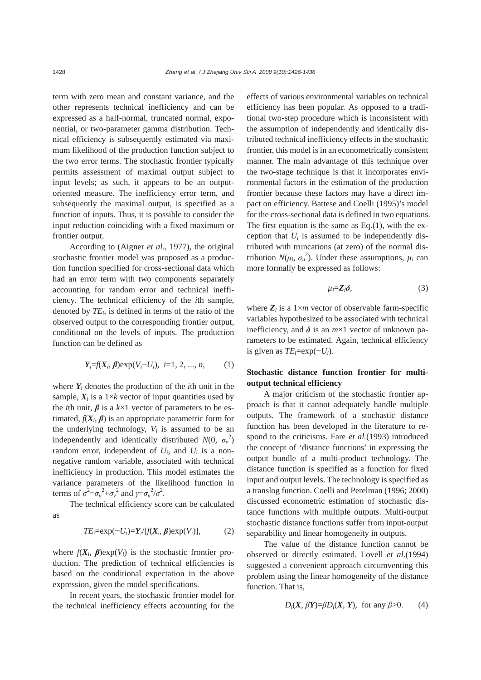term with zero mean and constant variance, and the other represents technical inefficiency and can be expressed as a half-normal, truncated normal, exponential, or two-parameter gamma distribution. Technical efficiency is subsequently estimated via maximum likelihood of the production function subject to the two error terms. The stochastic frontier typically permits assessment of maximal output subject to input levels; as such, it appears to be an outputoriented measure. The inefficiency error term, and subsequently the maximal output, is specified as a function of inputs. Thus, it is possible to consider the input reduction coinciding with a fixed maximum or frontier output.

According to (Aigner *et al*., 1977), the original stochastic frontier model was proposed as a production function specified for cross-sectional data which had an error term with two components separately accounting for random error and technical inefficiency. The technical efficiency of the *i*th sample, denoted by  $TE_i$ , is defined in terms of the ratio of the observed output to the corresponding frontier output, conditional on the levels of inputs. The production function can be defined as

$$
Y_i = f(X_i, \beta) \exp(V_i - U_i), \quad i = 1, 2, ..., n,
$$
 (1)

where  $Y_i$  denotes the production of the *i*th unit in the sample,  $X_i$  is a 1×*k* vector of input quantities used by the *i*th unit,  $\beta$  is a  $k \times 1$  vector of parameters to be estimated,  $f(X_i, \beta)$  is an appropriate parametric form for the underlying technology,  $V_i$  is assumed to be an independently and identically distributed  $N(0, \sigma_v^2)$ random error, independent of  $U_i$ , and  $U_i$  is a nonnegative random variable, associated with technical inefficiency in production. This model estimates the variance parameters of the likelihood function in terms of  $\sigma^2 = \sigma_u^2 + \sigma_v^2$  and  $\gamma = \sigma_u^2/\sigma^2$ .

as

$$
TE_i = \exp(-U_i) = Y_i/[f(X_i, \beta) \exp(V_i)], \tag{2}
$$

The technical efficiency score can be calculated

where  $f(X_i, \beta)$ exp( $V_i$ ) is the stochastic frontier production. The prediction of technical efficiencies is based on the conditional expectation in the above expression, given the model specifications.

In recent years, the stochastic frontier model for the technical inefficiency effects accounting for the

effects of various environmental variables on technical efficiency has been popular. As opposed to a traditional two-step procedure which is inconsistent with the assumption of independently and identically distributed technical inefficiency effects in the stochastic frontier, this model is in an econometrically consistent manner. The main advantage of this technique over the two-stage technique is that it incorporates environmental factors in the estimation of the production frontier because these factors may have a direct impact on efficiency. Battese and Coelli (1995)'s model for the cross-sectional data is defined in two equations. The first equation is the same as  $Eq.(1)$ , with the exception that  $U_i$  is assumed to be independently distributed with truncations (at zero) of the normal distribution  $N(\mu_i, \sigma_u^2)$ . Under these assumptions,  $\mu_i$  can more formally be expressed as follows:

$$
\mu_i = \mathbf{Z}_i \delta,\tag{3}
$$

where  $Z_i$  is a  $1 \times m$  vector of observable farm-specific variables hypothesized to be associated with technical inefficiency, and  $\delta$  is an  $m \times 1$  vector of unknown parameters to be estimated. Again, technical efficiency is given as  $TE = \exp(-U_i)$ .

# **Stochastic distance function frontier for multioutput technical efficiency**

A major criticism of the stochastic frontier approach is that it cannot adequately handle multiple outputs. The framework of a stochastic distance function has been developed in the literature to respond to the criticisms. Fare *et al.*(1993) introduced the concept of 'distance functions' in expressing the output bundle of a multi-product technology. The distance function is specified as a function for fixed input and output levels. The technology is specified as a translog function. Coelli and Perelman (1996; 2000) discussed econometric estimation of stochastic distance functions with multiple outputs. Multi-output stochastic distance functions suffer from input-output separability and linear homogeneity in outputs.

The value of the distance function cannot be observed or directly estimated. Lovell *et al*.(1994) suggested a convenient approach circumventing this problem using the linear homogeneity of the distance function. That is,

$$
D_i(X, \beta Y)=\beta D_i(X, Y)
$$
, for any  $\beta$ >0. (4)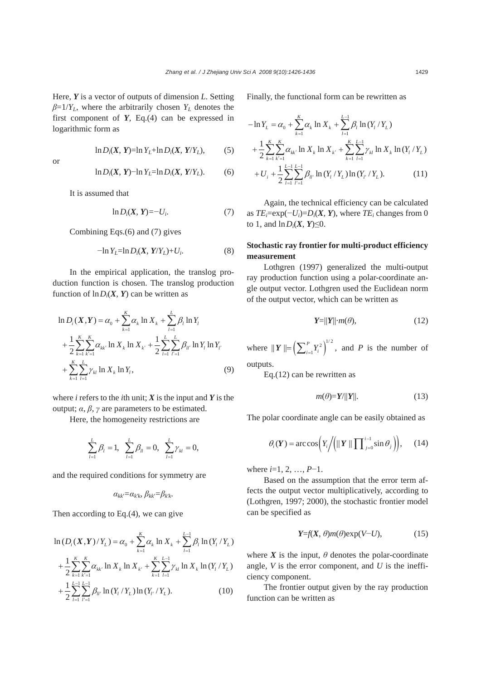Here, *Y* is a vector of outputs of dimension *L*. Setting  $\beta=1/Y_L$ , where the arbitrarily chosen  $Y_L$  denotes the first component of *Y*, Eq.(4) can be expressed in logarithmic form as

 $\ln D_i(X, Y) = \ln Y_L + \ln D_i(X, Y/Y_L),$  (5)

$$
\ln D_i(X, Y) - \ln Y_L = \ln D_i(X, Y/Y_L). \tag{6}
$$

It is assumed that

$$
\ln D_i(X, Y) = -U_i. \tag{7}
$$

Combining Eqs.(6) and (7) gives

$$
-\ln Y_L = \ln D_i(X, Y/Y_L) + U_i. \tag{8}
$$

In the empirical application, the translog production function is chosen. The translog production function of  $\ln D_i(X, Y)$  can be written as

$$
\ln D_i(\boldsymbol{X}, \boldsymbol{Y}) = \alpha_0 + \sum_{k=1}^K \alpha_k \ln X_k + \sum_{l=1}^L \beta_l \ln Y_l
$$
  
+ 
$$
\frac{1}{2} \sum_{k=1}^K \sum_{k'=1}^K \alpha_{kk'} \ln X_k \ln X_{k'} + \frac{1}{2} \sum_{l=1}^L \sum_{l'=1}^L \beta_{ll'} \ln Y_l \ln Y_{l'}
$$
  
+ 
$$
\sum_{k=1}^K \sum_{l=1}^L \gamma_{kl} \ln X_k \ln Y_l,
$$
 (9)

where *i* refers to the *i*th unit;  $X$  is the input and  $Y$  is the output;  $\alpha$ ,  $\beta$ ,  $\gamma$  are parameters to be estimated.

Here, the homogeneity restrictions are

$$
\sum_{l=1}^{L} \beta_l = 1, \ \sum_{l=1}^{L} \beta_{ll} = 0, \ \sum_{l=1}^{L} \gamma_{kl} = 0,
$$

and the required conditions for symmetry are

$$
\alpha_{kk'}{=}\alpha_{k'k}, \beta_{kk'}{=}\beta_{k'k}.
$$

Then according to Eq.(4), we can give

$$
\ln (D_i(X, Y) / Y_L) = \alpha_0 + \sum_{k=1}^K \alpha_k \ln X_k + \sum_{l=1}^{L-1} \beta_l \ln (Y_l / Y_L)
$$
  
+ 
$$
\frac{1}{2} \sum_{k=1}^K \sum_{k'=1}^K \alpha_{kk'} \ln X_k \ln X_{k'} + \sum_{k=1}^K \sum_{l=1}^{L-1} \gamma_{kl} \ln X_k \ln (Y_l / Y_L)
$$
  
+ 
$$
\frac{1}{2} \sum_{l=1}^{L-1} \sum_{l'=1}^{L-1} \beta_{ll'} \ln (Y_l / Y_L) \ln (Y_{l'} / Y_L).
$$
(10)

Finally, the functional form can be rewritten as

$$
-\ln Y_{L} = \alpha_{0} + \sum_{k=1}^{K} \alpha_{k} \ln X_{k} + \sum_{l=1}^{L-1} \beta_{l} \ln (Y_{l} / Y_{L})
$$
  
+ 
$$
\frac{1}{2} \sum_{k=1}^{K} \sum_{k'=1}^{K} \alpha_{kk'} \ln X_{k} \ln X_{k'} + \sum_{k=1}^{K} \sum_{l=1}^{L-1} \gamma_{kl} \ln X_{k} \ln (Y_{l} / Y_{L})
$$
  
+ 
$$
U_{i} + \frac{1}{2} \sum_{l=1}^{L-1} \sum_{l'=1}^{L-1} \beta_{ll'} \ln (Y_{l} / Y_{L}) \ln (Y_{l'} / Y_{L}).
$$
 (11)

Again, the technical efficiency can be calculated as  $TE_i = \exp(-U_i) = D_i(X, Y)$ , where  $TE_i$  changes from 0 to 1, and  $\ln D_i(X, Y) \leq 0$ .

# **Stochastic ray frontier for multi-product efficiency measurement**

Lothgren (1997) generalized the multi-output ray production function using a polar-coordinate angle output vector. Lothgren used the Euclidean norm of the output vector, which can be written as

$$
Y = ||Y|| \cdot m(\theta), \tag{12}
$$

where  $||Y|| = \left( \sum_{i=1}^{P} Y_i^2 \right)^{1/2}$ , and *P* is the number of

outputs.

Eq.(12) can be rewritten as

$$
m(\theta) = Y/\|Y\|.\tag{13}
$$

The polar coordinate angle can be easily obtained as

$$
\theta_i(\mathbf{Y}) = \arccos\left(Y_i \bigg/ \bigg( \|\mathbf{Y}\| \prod_{j=0}^{i-1} \sin \theta_j \bigg) \right), \qquad (14)
$$

where *i*=1, 2, …, *P*−1.

Based on the assumption that the error term affects the output vector multiplicatively, according to (Lothgren, 1997; 2000), the stochastic frontier model can be specified as

$$
Y=f(X,\theta)m(\theta)\exp(V-U),\tag{15}
$$

where *X* is the input,  $\theta$  denotes the polar-coordinate angle, *V* is the error component, and *U* is the inefficiency component.

The frontier output given by the ray production function can be written as

or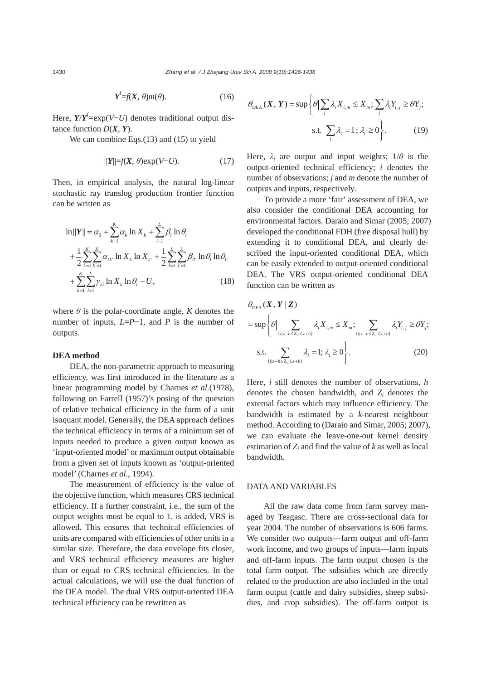$$
Y^f = f(X, \theta)m(\theta). \tag{16}
$$

Here, *Y*/*Y*<sup>f</sup> =exp(*V*−*U*) denotes traditional output distance function  $D(X, Y)$ .

We can combine Eqs.(13) and (15) to yield

$$
||Y|| = f(X, \theta) \exp(V-U). \tag{17}
$$

Then, in empirical analysis, the natural log-linear stochastic ray translog production frontier function can be written as

$$
\ln||Y|| = \alpha_0 + \sum_{k=1}^{K} \alpha_k \ln X_k + \sum_{l=1}^{L} \beta_l \ln \theta_l
$$
  
+ 
$$
\frac{1}{2} \sum_{k=1}^{K} \sum_{k'=1}^{K} \alpha_{kk'} \ln X_k \ln X_{k'} + \frac{1}{2} \sum_{l=1}^{L} \sum_{l'=1}^{L} \beta_{ll'} \ln \theta_l \ln \theta_{l'}
$$
  
+ 
$$
\sum_{k=1}^{K} \sum_{l=1}^{L} \gamma_{kl} \ln X_k \ln \theta_l - U,
$$
 (18)

where  $\theta$  is the polar-coordinate angle, *K* denotes the number of inputs,  $L = P - 1$ , and *P* is the number of outputs.

### **DEA method**

DEA, the non-parametric approach to measuring efficiency, was first introduced in the literature as a linear programming model by Charnes *et al.*(1978), following on Farrell (1957)'s posing of the question of relative technical efficiency in the form of a unit isoquant model. Generally, the DEA approach defines the technical efficiency in terms of a minimum set of inputs needed to produce a given output known as 'input-oriented model' or maximum output obtainable from a given set of inputs known as 'output-oriented model' (Charnes *et al*., 1994).

The measurement of efficiency is the value of the objective function, which measures CRS technical efficiency. If a further constraint, i.e., the sum of the output weights must be equal to 1, is added, VRS is allowed. This ensures that technical efficiencies of units are compared with efficiencies of other units in a similar size. Therefore, the data envelope fits closer, and VRS technical efficiency measures are higher than or equal to CRS technical efficiencies. In the actual calculations, we will use the dual function of the DEA model. The dual VRS output-oriented DEA technical efficiency can be rewritten as

$$
\theta_{\text{DEA}}(\boldsymbol{X}, \boldsymbol{Y}) = \sup \left\{ \theta \middle| \sum_{i} \lambda_{i} X_{i, m} \leq X_{m}; \sum_{i} \lambda_{i} Y_{i, j} \geq \theta Y_{j}; \right\}
$$
  
s.t. 
$$
\sum_{i} \lambda_{i} = 1; \lambda_{i} \geq 0 \right\}.
$$
 (19)

Here,  $\lambda_i$  are output and input weights;  $1/\theta$  is the output-oriented technical efficiency; *i* denotes the number of observations; *j* and *m* denote the number of outputs and inputs, respectively.

To provide a more 'fair' assessment of DEA, we also consider the conditional DEA accounting for environmental factors. Daraio and Simar (2005; 2007) developed the conditional FDH (free disposal hull) by extending it to conditional DEA, and clearly described the input-oriented conditional DEA, which can be easily extended to output-oriented conditional DEA. The VRS output-oriented conditional DEA function can be written as

$$
\theta_{\text{DEA}}(\boldsymbol{X}, \boldsymbol{Y} \mid \boldsymbol{Z})
$$
\n
$$
= \sup \left\{ \theta \Big| \sum_{\{i|z - h \le Z_{ii} \le z + h\}} \lambda_i X_{i,m} \le X_m; \sum_{\{i|z - h \le Z_{ii} \le z + h\}} \lambda_i Y_{i,j} \ge \theta Y_j;
$$
\n
$$
\text{s.t.} \sum_{\{i|z - h \le Z_{ii} \le z + h\}} \lambda_i = 1; \lambda_i \ge 0 \right\}.
$$
\n
$$
(20)
$$

Here, *i* still denotes the number of observations, *h* denotes the chosen bandwidth, and *Zi* denotes the external factors which may influence efficiency. The bandwidth is estimated by a *k*-nearest neighbour method. According to (Daraio and Simar, 2005; 2007), we can evaluate the leave-one-out kernel density estimation of *Zi* and find the value of *k* as well as local bandwidth.

## DATA AND VARIABLES

All the raw data come from farm survey managed by Teagasc. There are cross-sectional data for year 2004. The number of observations is 606 farms. We consider two outputs—farm output and off-farm work income, and two groups of inputs—farm inputs and off-farm inputs. The farm output chosen is the total farm output. The subsidies which are directly related to the production are also included in the total farm output (cattle and dairy subsidies, sheep subsidies, and crop subsidies). The off-farm output is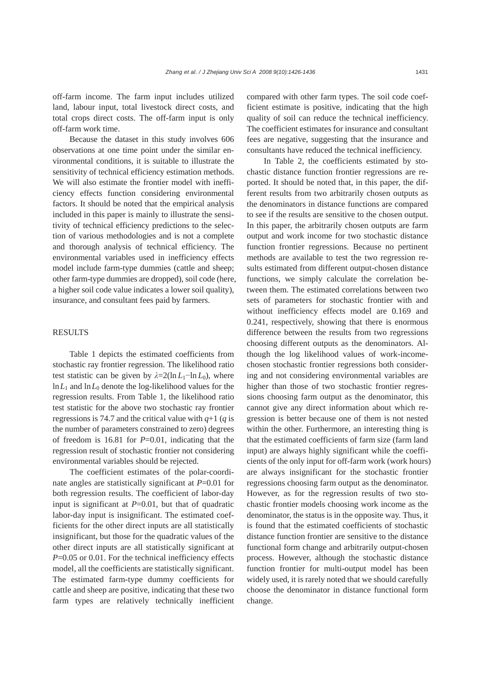off-farm income. The farm input includes utilized land, labour input, total livestock direct costs, and total crops direct costs. The off-farm input is only off-farm work time.

Because the dataset in this study involves 606 observations at one time point under the similar environmental conditions, it is suitable to illustrate the sensitivity of technical efficiency estimation methods. We will also estimate the frontier model with inefficiency effects function considering environmental factors. It should be noted that the empirical analysis included in this paper is mainly to illustrate the sensitivity of technical efficiency predictions to the selection of various methodologies and is not a complete and thorough analysis of technical efficiency. The environmental variables used in inefficiency effects model include farm-type dummies (cattle and sheep; other farm-type dummies are dropped), soil code (here, a higher soil code value indicates a lower soil quality), insurance, and consultant fees paid by farmers.

## RESULTS

Table 1 depicts the estimated coefficients from stochastic ray frontier regression. The likelihood ratio test statistic can be given by  $\lambda = 2(\ln L_1 - \ln L_0)$ , where  $ln L_1$  and  $ln L_0$  denote the log-likelihood values for the regression results. From Table 1, the likelihood ratio test statistic for the above two stochastic ray frontier regressions is 74.7 and the critical value with *q*+1 (*q* is the number of parameters constrained to zero) degrees of freedom is 16.81 for *P*=0.01, indicating that the regression result of stochastic frontier not considering environmental variables should be rejected.

The coefficient estimates of the polar-coordinate angles are statistically significant at *P*=0.01 for both regression results. The coefficient of labor-day input is significant at  $P=0.01$ , but that of quadratic labor-day input is insignificant. The estimated coefficients for the other direct inputs are all statistically insignificant, but those for the quadratic values of the other direct inputs are all statistically significant at *P*=0.05 or 0.01. For the technical inefficiency effects model, all the coefficients are statistically significant. The estimated farm-type dummy coefficients for cattle and sheep are positive, indicating that these two farm types are relatively technically inefficient compared with other farm types. The soil code coefficient estimate is positive, indicating that the high quality of soil can reduce the technical inefficiency. The coefficient estimates for insurance and consultant fees are negative, suggesting that the insurance and consultants have reduced the technical inefficiency.

In Table 2, the coefficients estimated by stochastic distance function frontier regressions are reported. It should be noted that, in this paper, the different results from two arbitrarily chosen outputs as the denominators in distance functions are compared to see if the results are sensitive to the chosen output. In this paper, the arbitrarily chosen outputs are farm output and work income for two stochastic distance function frontier regressions. Because no pertinent methods are available to test the two regression results estimated from different output-chosen distance functions, we simply calculate the correlation between them. The estimated correlations between two sets of parameters for stochastic frontier with and without inefficiency effects model are 0.169 and 0.241, respectively, showing that there is enormous difference between the results from two regressions choosing different outputs as the denominators. Although the log likelihood values of work-incomechosen stochastic frontier regressions both considering and not considering environmental variables are higher than those of two stochastic frontier regressions choosing farm output as the denominator, this cannot give any direct information about which regression is better because one of them is not nested within the other. Furthermore, an interesting thing is that the estimated coefficients of farm size (farm land input) are always highly significant while the coefficients of the only input for off-farm work (work hours) are always insignificant for the stochastic frontier regressions choosing farm output as the denominator. However, as for the regression results of two stochastic frontier models choosing work income as the denominator, the status is in the opposite way. Thus, it is found that the estimated coefficients of stochastic distance function frontier are sensitive to the distance functional form change and arbitrarily output-chosen process. However, although the stochastic distance function frontier for multi-output model has been widely used, it is rarely noted that we should carefully choose the denominator in distance functional form change.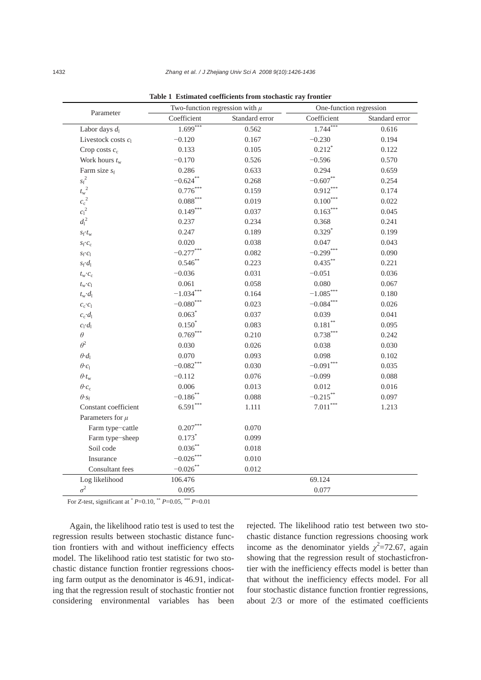| Parameter                                                                                |                        | Two-function regression with $\mu$ | One-function regression |                |  |
|------------------------------------------------------------------------------------------|------------------------|------------------------------------|-------------------------|----------------|--|
|                                                                                          | Coefficient            | Standard error                     | Coefficient             | Standard error |  |
| Labor days $d_1$                                                                         | $1.699***$             | 0.562                              | $1.744***$              | 0.616          |  |
| Livestock costs $c_1$                                                                    | $-0.120$               | 0.167                              | $-0.230$                | 0.194          |  |
| Crop costs $c_c$                                                                         | 0.133                  | 0.105                              | $0.212$ <sup>*</sup>    | 0.122          |  |
| Work hours $t_w$                                                                         | $-0.170$               | 0.526                              | $-0.596$                | 0.570          |  |
| Farm size $s_f$                                                                          | 0.286                  | 0.633                              | 0.294                   | 0.659          |  |
| ${s_{\rm f}}^2$                                                                          | $-0.624$ **            | 0.268                              | $-0.607**$              | 0.254          |  |
| $\begin{gathered} {t_\mathrm{w}}^2\\ {c_\mathrm{c}}^2\\ {c_\mathrm{l}}^2 \end{gathered}$ | $0.776***$             | 0.159                              | $0.912***$              | 0.174          |  |
|                                                                                          | $0.088^{\ast\ast\ast}$ | 0.019                              | $0.100***$              | 0.022          |  |
|                                                                                          | $0.149***$             | 0.037                              | $0.163***$              | 0.045          |  |
| $d_1^2$                                                                                  | 0.237                  | 0.234                              | 0.368                   | 0.241          |  |
| $s_\mathrm{f}\!\cdot\! t_\mathrm{w}$                                                     | 0.247                  | 0.189                              | $0.329*$                | 0.199          |  |
| $S_f$ $C_c$                                                                              | 0.020                  | 0.038                              | 0.047                   | 0.043          |  |
| $S_f C_1$                                                                                | $-0.277***$            | 0.082                              | $-0.299***$             | 0.090          |  |
| $s_f d_1$                                                                                | $0.546^{**}$           | 0.223                              | $0.435***$              | 0.221          |  |
| $t_{\rm w}$ . $c_{\rm c}$                                                                | $-0.036$               | 0.031                              | $-0.051$                | 0.036          |  |
| $t_\mathrm{w}\!\cdot\! c_\mathrm{l}$                                                     | 0.061                  | 0.058                              | 0.080                   | 0.067          |  |
| $t_{\rm w}$ · $d_{\rm l}$                                                                | $-1.034***$            | 0.164                              | $-1.085***$             | 0.180          |  |
| $c_{\rm c}\!\cdot\! c_{\rm l}$                                                           | $-0.080$ ***           | 0.023                              | $-0.084***$             | 0.026          |  |
| $c_{\rm c} \cdot d_{\rm l}$                                                              | 0.063                  | 0.037                              | 0.039                   | 0.041          |  |
| $c_1 \cdot d_1$                                                                          | $0.150*$               | 0.083                              | $0.181^{\ast\ast}$      | 0.095          |  |
| $\theta$                                                                                 | $0.769***$             | 0.210                              | $0.738***$              | 0.242          |  |
| $\theta^2$                                                                               | 0.030                  | 0.026                              | 0.038                   | 0.030          |  |
| $\theta \cdot d_1$                                                                       | 0.070                  | 0.093                              | 0.098                   | 0.102          |  |
| $\theta$ · $c_1$                                                                         | $-0.082***$            | 0.030                              | $-0.091***$             | 0.035          |  |
| $\theta{\cdot}t_{\mathrm{w}}$                                                            | $-0.112$               | 0.076                              | $-0.099$                | 0.088          |  |
| $\theta$ · $c_c$                                                                         | 0.006                  | 0.013                              | 0.012                   | 0.016          |  |
| $\theta$ · $s_f$                                                                         | $-0.186$ **            | 0.088                              | $-0.215***$             | 0.097          |  |
| Constant coefficient                                                                     | $6.591***$             | 1.111                              | $7.011***$              | 1.213          |  |
| Parameters for $\mu$                                                                     |                        |                                    |                         |                |  |
| Farm type-cattle                                                                         | $0.207***$             | 0.070                              |                         |                |  |
| Farm type-sheep                                                                          | $0.173*$               | 0.099                              |                         |                |  |
| Soil code                                                                                | $0.036**$              | 0.018                              |                         |                |  |
| Insurance                                                                                | $-0.026***$            | 0.010                              |                         |                |  |
| Consultant fees                                                                          | $-0.026$ **            | 0.012                              |                         |                |  |
| Log likelihood                                                                           | 106.476                |                                    | 69.124                  |                |  |
| $\sigma^2$                                                                               | 0.095                  |                                    | 0.077                   |                |  |

**Table 1 Estimated coefficients from stochastic ray frontier** 

For *Z*-test, significant at \* *P*=0.10, \*\* *P*=0.05, \*\*\* *P*=0.01

Again, the likelihood ratio test is used to test the regression results between stochastic distance function frontiers with and without inefficiency effects model. The likelihood ratio test statistic for two stochastic distance function frontier regressions choosing farm output as the denominator is 46.91, indicating that the regression result of stochastic frontier not considering environmental variables has been

rejected. The likelihood ratio test between two stochastic distance function regressions choosing work income as the denominator yields  $\chi^2$ =72.67, again showing that the regression result of stochasticfrontier with the inefficiency effects model is better than that without the inefficiency effects model. For all four stochastic distance function frontier regressions, about 2/3 or more of the estimated coefficients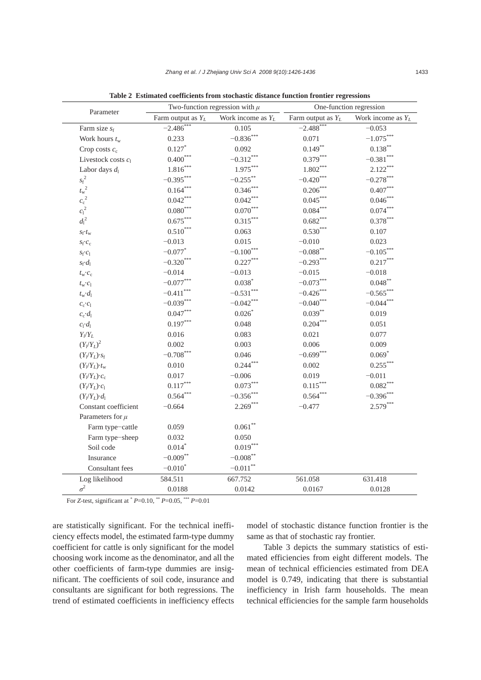| Parameter<br>Work income as $Y_L$<br>Farm output as $Y_L$<br>Farm output as $Y_L$<br>$-2.488$ **<br>$-2.486$ *<br>0.105<br>$-0.053$<br>$-1.075***$<br>$-0.836$ ***<br>0.233<br>0.071<br>$0.149***$<br>$0.138***$<br>$0.127*$<br>0.092<br>$0.400***$<br>$-0.312***$<br>$0.379***$<br>$-0.381$ ***<br>$1.816***$<br>$1.975***$<br>$1.802***$<br>$2.122***$<br>$-0.395***$<br>$-0.420$ ***<br>$-0.278***$<br>$-0.255***$<br>$\begin{gathered} {t_\mathrm{w}}^2\\ {c_\mathrm{c}}^2\\ {c_\mathrm{l}}^2 \end{gathered}$<br>$0.164***$<br>$0.206***$<br>$0.407***$<br>$0.346***$<br>$0.045***$<br>$0.042***$<br>$0.042***$<br>$0.046***$<br>$0.080^{\ast\ast\ast}$<br>$0.070***$<br>$0.084***$<br>$0.074***$<br>$0.675***$<br>$0.315***$<br>$0.682***$<br>$0.378***$<br>$0.510***$<br>$0.530***$<br>0.063<br>0.107<br>$-0.013$<br>0.015<br>$-0.010$<br>0.023<br>$-0.105***$<br>$-0.100$ ***<br>$-0.088$ **<br>$-0.077$ *<br>$-0.293***$<br>$0.217^{\ast\ast\ast}$<br>$-0.320***$<br>$0.227***$<br>$-0.014$<br>$-0.013$<br>$-0.015$<br>$-0.018$<br>$-0.073***$<br>$-0.077***$<br>$0.048***$<br>$0.038*$<br>$-0.565***$<br>$-0.531***$<br>$-0.426$ ***<br>$-0.411$ ***<br>$-0.040$ ***<br>$-0.039***$<br>$-0.042$ ***<br>$-0.044$ ***<br>$0.047***$<br>$0.039***$<br>$0.026*$<br>0.019<br>$0.197***$<br>$0.204***$<br>0.048<br>0.051<br>0.016<br>0.083<br>0.021<br>0.077<br>0.006<br>0.009<br>0.002<br>0.003<br>$-0.708***$<br>$-0.699***$<br>$0.069*$<br>$(Y_l/Y_L)\cdot s_f$<br>0.046<br>$0.255***$<br>$0.244***$<br>0.010<br>0.002<br>$(Y_l/Y_L)\cdot t_{\rm w}$<br>0.017<br>$-0.006$<br>0.019<br>$-0.011$<br>$(Y_l/Y_L)\cdot c_c$<br>$0.117***$<br>$0.073***$<br>$0.115***$<br>$0.082***$<br>$-0.356$ ***<br>$0.564***$<br>$-0.396$ ***<br>$0.564***$<br>$(Y_l/Y_L)\cdot d_1$<br>$2.579***$<br>$2.269***$<br>$-0.477$<br>$-0.664$<br>$0.061**$<br>0.059<br>Farm type-cattle<br>0.050<br>Farm type-sheep<br>0.032<br>$0.019***$<br>$0.014$ <sup>*</sup><br>Soil code<br>$-0.008^{**}$<br>$-0.009***$<br>Insurance<br>$-0.011$ **<br>$-0.010^*$<br>Consultant fees<br>584.511<br>667.752<br>561.058<br>631.418<br>0.0188<br>0.0142<br>0.0167<br>0.0128 |                             |  | Two-function regression with $\mu$ | One-function regression |                      |  |
|-------------------------------------------------------------------------------------------------------------------------------------------------------------------------------------------------------------------------------------------------------------------------------------------------------------------------------------------------------------------------------------------------------------------------------------------------------------------------------------------------------------------------------------------------------------------------------------------------------------------------------------------------------------------------------------------------------------------------------------------------------------------------------------------------------------------------------------------------------------------------------------------------------------------------------------------------------------------------------------------------------------------------------------------------------------------------------------------------------------------------------------------------------------------------------------------------------------------------------------------------------------------------------------------------------------------------------------------------------------------------------------------------------------------------------------------------------------------------------------------------------------------------------------------------------------------------------------------------------------------------------------------------------------------------------------------------------------------------------------------------------------------------------------------------------------------------------------------------------------------------------------------------------------------------------------------------------------------------------------------------------------------------------------------------------------------------------------------------------------------------------------------------|-----------------------------|--|------------------------------------|-------------------------|----------------------|--|
|                                                                                                                                                                                                                                                                                                                                                                                                                                                                                                                                                                                                                                                                                                                                                                                                                                                                                                                                                                                                                                                                                                                                                                                                                                                                                                                                                                                                                                                                                                                                                                                                                                                                                                                                                                                                                                                                                                                                                                                                                                                                                                                                                 |                             |  |                                    |                         | Work income as $Y_L$ |  |
|                                                                                                                                                                                                                                                                                                                                                                                                                                                                                                                                                                                                                                                                                                                                                                                                                                                                                                                                                                                                                                                                                                                                                                                                                                                                                                                                                                                                                                                                                                                                                                                                                                                                                                                                                                                                                                                                                                                                                                                                                                                                                                                                                 | Farm size $s_f$             |  |                                    |                         |                      |  |
|                                                                                                                                                                                                                                                                                                                                                                                                                                                                                                                                                                                                                                                                                                                                                                                                                                                                                                                                                                                                                                                                                                                                                                                                                                                                                                                                                                                                                                                                                                                                                                                                                                                                                                                                                                                                                                                                                                                                                                                                                                                                                                                                                 | Work hours $t_w$            |  |                                    |                         |                      |  |
|                                                                                                                                                                                                                                                                                                                                                                                                                                                                                                                                                                                                                                                                                                                                                                                                                                                                                                                                                                                                                                                                                                                                                                                                                                                                                                                                                                                                                                                                                                                                                                                                                                                                                                                                                                                                                                                                                                                                                                                                                                                                                                                                                 | Crop costs $c_c$            |  |                                    |                         |                      |  |
|                                                                                                                                                                                                                                                                                                                                                                                                                                                                                                                                                                                                                                                                                                                                                                                                                                                                                                                                                                                                                                                                                                                                                                                                                                                                                                                                                                                                                                                                                                                                                                                                                                                                                                                                                                                                                                                                                                                                                                                                                                                                                                                                                 | Livestock costs $c_1$       |  |                                    |                         |                      |  |
|                                                                                                                                                                                                                                                                                                                                                                                                                                                                                                                                                                                                                                                                                                                                                                                                                                                                                                                                                                                                                                                                                                                                                                                                                                                                                                                                                                                                                                                                                                                                                                                                                                                                                                                                                                                                                                                                                                                                                                                                                                                                                                                                                 | Labor days $d_1$            |  |                                    |                         |                      |  |
|                                                                                                                                                                                                                                                                                                                                                                                                                                                                                                                                                                                                                                                                                                                                                                                                                                                                                                                                                                                                                                                                                                                                                                                                                                                                                                                                                                                                                                                                                                                                                                                                                                                                                                                                                                                                                                                                                                                                                                                                                                                                                                                                                 | ${s_{\rm f}}^2$             |  |                                    |                         |                      |  |
|                                                                                                                                                                                                                                                                                                                                                                                                                                                                                                                                                                                                                                                                                                                                                                                                                                                                                                                                                                                                                                                                                                                                                                                                                                                                                                                                                                                                                                                                                                                                                                                                                                                                                                                                                                                                                                                                                                                                                                                                                                                                                                                                                 |                             |  |                                    |                         |                      |  |
|                                                                                                                                                                                                                                                                                                                                                                                                                                                                                                                                                                                                                                                                                                                                                                                                                                                                                                                                                                                                                                                                                                                                                                                                                                                                                                                                                                                                                                                                                                                                                                                                                                                                                                                                                                                                                                                                                                                                                                                                                                                                                                                                                 |                             |  |                                    |                         |                      |  |
|                                                                                                                                                                                                                                                                                                                                                                                                                                                                                                                                                                                                                                                                                                                                                                                                                                                                                                                                                                                                                                                                                                                                                                                                                                                                                                                                                                                                                                                                                                                                                                                                                                                                                                                                                                                                                                                                                                                                                                                                                                                                                                                                                 |                             |  |                                    |                         |                      |  |
|                                                                                                                                                                                                                                                                                                                                                                                                                                                                                                                                                                                                                                                                                                                                                                                                                                                                                                                                                                                                                                                                                                                                                                                                                                                                                                                                                                                                                                                                                                                                                                                                                                                                                                                                                                                                                                                                                                                                                                                                                                                                                                                                                 | $d_1^2$                     |  |                                    |                         |                      |  |
|                                                                                                                                                                                                                                                                                                                                                                                                                                                                                                                                                                                                                                                                                                                                                                                                                                                                                                                                                                                                                                                                                                                                                                                                                                                                                                                                                                                                                                                                                                                                                                                                                                                                                                                                                                                                                                                                                                                                                                                                                                                                                                                                                 | $S_f t_w$                   |  |                                    |                         |                      |  |
|                                                                                                                                                                                                                                                                                                                                                                                                                                                                                                                                                                                                                                                                                                                                                                                                                                                                                                                                                                                                                                                                                                                                                                                                                                                                                                                                                                                                                                                                                                                                                                                                                                                                                                                                                                                                                                                                                                                                                                                                                                                                                                                                                 | $S_f \cdot C_c$             |  |                                    |                         |                      |  |
|                                                                                                                                                                                                                                                                                                                                                                                                                                                                                                                                                                                                                                                                                                                                                                                                                                                                                                                                                                                                                                                                                                                                                                                                                                                                                                                                                                                                                                                                                                                                                                                                                                                                                                                                                                                                                                                                                                                                                                                                                                                                                                                                                 | $S_f C_1$                   |  |                                    |                         |                      |  |
|                                                                                                                                                                                                                                                                                                                                                                                                                                                                                                                                                                                                                                                                                                                                                                                                                                                                                                                                                                                                                                                                                                                                                                                                                                                                                                                                                                                                                                                                                                                                                                                                                                                                                                                                                                                                                                                                                                                                                                                                                                                                                                                                                 | $s_f d_1$                   |  |                                    |                         |                      |  |
|                                                                                                                                                                                                                                                                                                                                                                                                                                                                                                                                                                                                                                                                                                                                                                                                                                                                                                                                                                                                                                                                                                                                                                                                                                                                                                                                                                                                                                                                                                                                                                                                                                                                                                                                                                                                                                                                                                                                                                                                                                                                                                                                                 | $t_{\rm w}$ . $c_{\rm c}$   |  |                                    |                         |                      |  |
|                                                                                                                                                                                                                                                                                                                                                                                                                                                                                                                                                                                                                                                                                                                                                                                                                                                                                                                                                                                                                                                                                                                                                                                                                                                                                                                                                                                                                                                                                                                                                                                                                                                                                                                                                                                                                                                                                                                                                                                                                                                                                                                                                 | $t_{\rm w}$ · $c_1$         |  |                                    |                         |                      |  |
|                                                                                                                                                                                                                                                                                                                                                                                                                                                                                                                                                                                                                                                                                                                                                                                                                                                                                                                                                                                                                                                                                                                                                                                                                                                                                                                                                                                                                                                                                                                                                                                                                                                                                                                                                                                                                                                                                                                                                                                                                                                                                                                                                 | $t_{\rm w}$ · $d_{\rm l}$   |  |                                    |                         |                      |  |
|                                                                                                                                                                                                                                                                                                                                                                                                                                                                                                                                                                                                                                                                                                                                                                                                                                                                                                                                                                                                                                                                                                                                                                                                                                                                                                                                                                                                                                                                                                                                                                                                                                                                                                                                                                                                                                                                                                                                                                                                                                                                                                                                                 | $c_c \cdot c_1$             |  |                                    |                         |                      |  |
|                                                                                                                                                                                                                                                                                                                                                                                                                                                                                                                                                                                                                                                                                                                                                                                                                                                                                                                                                                                                                                                                                                                                                                                                                                                                                                                                                                                                                                                                                                                                                                                                                                                                                                                                                                                                                                                                                                                                                                                                                                                                                                                                                 | $c_{\rm c} \cdot d_{\rm l}$ |  |                                    |                         |                      |  |
|                                                                                                                                                                                                                                                                                                                                                                                                                                                                                                                                                                                                                                                                                                                                                                                                                                                                                                                                                                                                                                                                                                                                                                                                                                                                                                                                                                                                                                                                                                                                                                                                                                                                                                                                                                                                                                                                                                                                                                                                                                                                                                                                                 | $c_1 \cdot d_1$             |  |                                    |                         |                      |  |
|                                                                                                                                                                                                                                                                                                                                                                                                                                                                                                                                                                                                                                                                                                                                                                                                                                                                                                                                                                                                                                                                                                                                                                                                                                                                                                                                                                                                                                                                                                                                                                                                                                                                                                                                                                                                                                                                                                                                                                                                                                                                                                                                                 | $Y_{l}/Y_{L}$               |  |                                    |                         |                      |  |
|                                                                                                                                                                                                                                                                                                                                                                                                                                                                                                                                                                                                                                                                                                                                                                                                                                                                                                                                                                                                                                                                                                                                                                                                                                                                                                                                                                                                                                                                                                                                                                                                                                                                                                                                                                                                                                                                                                                                                                                                                                                                                                                                                 | $(Y_l/Y_L)^2$               |  |                                    |                         |                      |  |
|                                                                                                                                                                                                                                                                                                                                                                                                                                                                                                                                                                                                                                                                                                                                                                                                                                                                                                                                                                                                                                                                                                                                                                                                                                                                                                                                                                                                                                                                                                                                                                                                                                                                                                                                                                                                                                                                                                                                                                                                                                                                                                                                                 |                             |  |                                    |                         |                      |  |
|                                                                                                                                                                                                                                                                                                                                                                                                                                                                                                                                                                                                                                                                                                                                                                                                                                                                                                                                                                                                                                                                                                                                                                                                                                                                                                                                                                                                                                                                                                                                                                                                                                                                                                                                                                                                                                                                                                                                                                                                                                                                                                                                                 |                             |  |                                    |                         |                      |  |
|                                                                                                                                                                                                                                                                                                                                                                                                                                                                                                                                                                                                                                                                                                                                                                                                                                                                                                                                                                                                                                                                                                                                                                                                                                                                                                                                                                                                                                                                                                                                                                                                                                                                                                                                                                                                                                                                                                                                                                                                                                                                                                                                                 |                             |  |                                    |                         |                      |  |
|                                                                                                                                                                                                                                                                                                                                                                                                                                                                                                                                                                                                                                                                                                                                                                                                                                                                                                                                                                                                                                                                                                                                                                                                                                                                                                                                                                                                                                                                                                                                                                                                                                                                                                                                                                                                                                                                                                                                                                                                                                                                                                                                                 | $(Y_l/Y_L)\cdot c_1$        |  |                                    |                         |                      |  |
|                                                                                                                                                                                                                                                                                                                                                                                                                                                                                                                                                                                                                                                                                                                                                                                                                                                                                                                                                                                                                                                                                                                                                                                                                                                                                                                                                                                                                                                                                                                                                                                                                                                                                                                                                                                                                                                                                                                                                                                                                                                                                                                                                 |                             |  |                                    |                         |                      |  |
|                                                                                                                                                                                                                                                                                                                                                                                                                                                                                                                                                                                                                                                                                                                                                                                                                                                                                                                                                                                                                                                                                                                                                                                                                                                                                                                                                                                                                                                                                                                                                                                                                                                                                                                                                                                                                                                                                                                                                                                                                                                                                                                                                 | Constant coefficient        |  |                                    |                         |                      |  |
|                                                                                                                                                                                                                                                                                                                                                                                                                                                                                                                                                                                                                                                                                                                                                                                                                                                                                                                                                                                                                                                                                                                                                                                                                                                                                                                                                                                                                                                                                                                                                                                                                                                                                                                                                                                                                                                                                                                                                                                                                                                                                                                                                 | Parameters for $\mu$        |  |                                    |                         |                      |  |
|                                                                                                                                                                                                                                                                                                                                                                                                                                                                                                                                                                                                                                                                                                                                                                                                                                                                                                                                                                                                                                                                                                                                                                                                                                                                                                                                                                                                                                                                                                                                                                                                                                                                                                                                                                                                                                                                                                                                                                                                                                                                                                                                                 |                             |  |                                    |                         |                      |  |
|                                                                                                                                                                                                                                                                                                                                                                                                                                                                                                                                                                                                                                                                                                                                                                                                                                                                                                                                                                                                                                                                                                                                                                                                                                                                                                                                                                                                                                                                                                                                                                                                                                                                                                                                                                                                                                                                                                                                                                                                                                                                                                                                                 |                             |  |                                    |                         |                      |  |
|                                                                                                                                                                                                                                                                                                                                                                                                                                                                                                                                                                                                                                                                                                                                                                                                                                                                                                                                                                                                                                                                                                                                                                                                                                                                                                                                                                                                                                                                                                                                                                                                                                                                                                                                                                                                                                                                                                                                                                                                                                                                                                                                                 |                             |  |                                    |                         |                      |  |
|                                                                                                                                                                                                                                                                                                                                                                                                                                                                                                                                                                                                                                                                                                                                                                                                                                                                                                                                                                                                                                                                                                                                                                                                                                                                                                                                                                                                                                                                                                                                                                                                                                                                                                                                                                                                                                                                                                                                                                                                                                                                                                                                                 |                             |  |                                    |                         |                      |  |
|                                                                                                                                                                                                                                                                                                                                                                                                                                                                                                                                                                                                                                                                                                                                                                                                                                                                                                                                                                                                                                                                                                                                                                                                                                                                                                                                                                                                                                                                                                                                                                                                                                                                                                                                                                                                                                                                                                                                                                                                                                                                                                                                                 |                             |  |                                    |                         |                      |  |
|                                                                                                                                                                                                                                                                                                                                                                                                                                                                                                                                                                                                                                                                                                                                                                                                                                                                                                                                                                                                                                                                                                                                                                                                                                                                                                                                                                                                                                                                                                                                                                                                                                                                                                                                                                                                                                                                                                                                                                                                                                                                                                                                                 | Log likelihood              |  |                                    |                         |                      |  |
|                                                                                                                                                                                                                                                                                                                                                                                                                                                                                                                                                                                                                                                                                                                                                                                                                                                                                                                                                                                                                                                                                                                                                                                                                                                                                                                                                                                                                                                                                                                                                                                                                                                                                                                                                                                                                                                                                                                                                                                                                                                                                                                                                 | $\sigma^2$                  |  |                                    |                         |                      |  |

**Table 2 Estimated coefficients from stochastic distance function frontier regressions** 

For *Z*-test, significant at \* *P*=0.10, \*\* *P*=0.05, \*\*\* *P*=0.01

are statistically significant. For the technical inefficiency effects model, the estimated farm-type dummy coefficient for cattle is only significant for the model choosing work income as the denominator, and all the other coefficients of farm-type dummies are insignificant. The coefficients of soil code, insurance and consultants are significant for both regressions. The trend of estimated coefficients in inefficiency effects

model of stochastic distance function frontier is the same as that of stochastic ray frontier.

Table 3 depicts the summary statistics of estimated efficiencies from eight different models. The mean of technical efficiencies estimated from DEA model is 0.749, indicating that there is substantial inefficiency in Irish farm households. The mean technical efficiencies for the sample farm households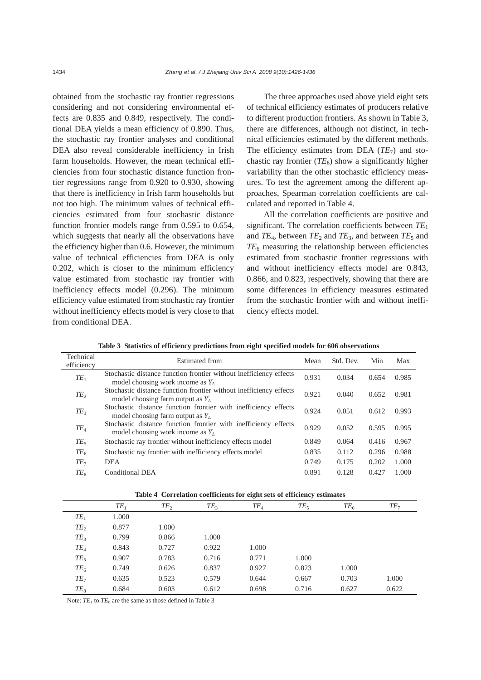obtained from the stochastic ray frontier regressions considering and not considering environmental effects are 0.835 and 0.849, respectively. The conditional DEA yields a mean efficiency of 0.890. Thus, the stochastic ray frontier analyses and conditional DEA also reveal considerable inefficiency in Irish farm households. However, the mean technical efficiencies from four stochastic distance function frontier regressions range from 0.920 to 0.930, showing that there is inefficiency in Irish farm households but not too high. The minimum values of technical efficiencies estimated from four stochastic distance function frontier models range from 0.595 to 0.654, which suggests that nearly all the observations have the efficiency higher than 0.6. However, the minimum value of technical efficiencies from DEA is only 0.202, which is closer to the minimum efficiency value estimated from stochastic ray frontier with inefficiency effects model (0.296). The minimum efficiency value estimated from stochastic ray frontier without inefficiency effects model is very close to that from conditional DEA.

The three approaches used above yield eight sets of technical efficiency estimates of producers relative to different production frontiers. As shown in Table 3, there are differences, although not distinct, in technical efficiencies estimated by the different methods. The efficiency estimates from DEA (*TE*7) and stochastic ray frontier  $(TE_6)$  show a significantly higher variability than the other stochastic efficiency measures. To test the agreement among the different approaches, Spearman correlation coefficients are calculated and reported in Table 4.

All the correlation coefficients are positive and significant. The correlation coefficients between *TE*<sup>1</sup> and  $TE_4$ , between  $TE_2$  and  $TE_3$ , and between  $TE_5$  and  $TE<sub>6</sub>$  measuring the relationship between efficiencies estimated from stochastic frontier regressions with and without inefficiency effects model are 0.843, 0.866, and 0.823, respectively, showing that there are some differences in efficiency measures estimated from the stochastic frontier with and without inefficiency effects model.

| Technical<br>efficiency | Estimated from                                                                                            |       | Std. Dev. | Min   | Max   |
|-------------------------|-----------------------------------------------------------------------------------------------------------|-------|-----------|-------|-------|
| $TE_1$                  | Stochastic distance function frontier without inefficiency effects<br>model choosing work income as $Y_I$ | 0.931 | 0.034     | 0.654 | 0.985 |
| TE <sub>2</sub>         | Stochastic distance function frontier without inefficiency effects<br>model choosing farm output as $Y_L$ | 0.921 | 0.040     | 0.652 | 0.981 |
| TE <sub>3</sub>         | Stochastic distance function frontier with inefficiency effects<br>model choosing farm output as $Y_L$    | 0.924 | 0.051     | 0.612 | 0.993 |
| $TE_4$                  | Stochastic distance function frontier with inefficiency effects<br>model choosing work income as $Y_L$    | 0.929 | 0.052     | 0.595 | 0.995 |
| $TE_5$                  | Stochastic ray frontier without inefficiency effects model                                                | 0.849 | 0.064     | 0.416 | 0.967 |
| $TE_6$                  | Stochastic ray frontier with inefficiency effects model                                                   | 0.835 | 0.112     | 0.296 | 0.988 |
| TE <sub>7</sub>         | <b>DEA</b>                                                                                                | 0.749 | 0.175     | 0.202 | 1.000 |
| $TE_8$                  | <b>Conditional DEA</b>                                                                                    | 0.891 | 0.128     | 0.427 | 1.000 |

**Table 3 Statistics of efficiency predictions from eight specified models for 606 observations** 

| Table 4 Correlation coefficients for eight sets of efficiency estimates |        |                 |                 |        |        |        |        |
|-------------------------------------------------------------------------|--------|-----------------|-----------------|--------|--------|--------|--------|
|                                                                         | $TE_1$ | TE <sub>2</sub> | TE <sub>3</sub> | $TE_4$ | $TE_5$ | $TE_6$ | $TE_7$ |
| $TE_1$                                                                  | 1.000  |                 |                 |        |        |        |        |
| TE <sub>2</sub>                                                         | 0.877  | 1.000           |                 |        |        |        |        |
| TE <sub>3</sub>                                                         | 0.799  | 0.866           | 1.000           |        |        |        |        |
| $TE_4$                                                                  | 0.843  | 0.727           | 0.922           | 1.000  |        |        |        |
| $TE_5$                                                                  | 0.907  | 0.783           | 0.716           | 0.771  | 1.000  |        |        |
| $TE_6$                                                                  | 0.749  | 0.626           | 0.837           | 0.927  | 0.823  | 1.000  |        |
| TE <sub>7</sub>                                                         | 0.635  | 0.523           | 0.579           | 0.644  | 0.667  | 0.703  | 1.000  |
| $TE_8$                                                                  | 0.684  | 0.603           | 0.612           | 0.698  | 0.716  | 0.627  | 0.622  |

Note:  $TE_1$  to  $TE_8$  are the same as those defined in Table 3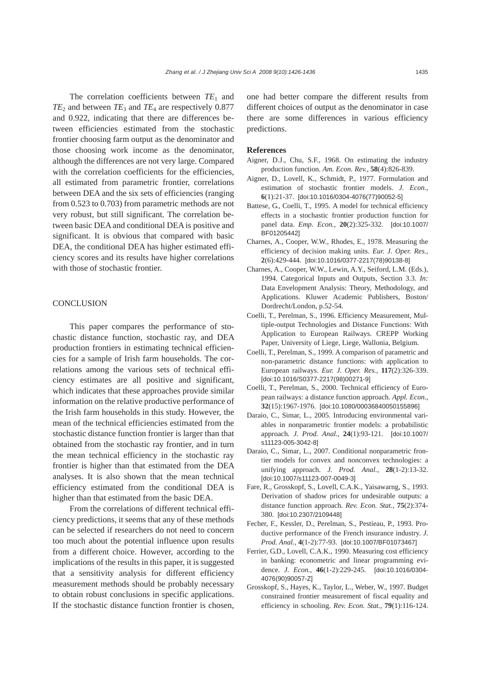The correlation coefficients between  $TE_1$  and  $TE_2$  and between  $TE_3$  and  $TE_4$  are respectively 0.877 and 0.922, indicating that there are differences between efficiencies estimated from the stochastic frontier choosing farm output as the denominator and those choosing work income as the denominator, although the differences are not very large. Compared with the correlation coefficients for the efficiencies, all estimated from parametric frontier, correlations between DEA and the six sets of efficiencies (ranging from 0.523 to 0.703) from parametric methods are not very robust, but still significant. The correlation between basic DEA and conditional DEA is positive and significant. It is obvious that compared with basic DEA, the conditional DEA has higher estimated efficiency scores and its results have higher correlations with those of stochastic frontier.

## **CONCLUSION**

This paper compares the performance of stochastic distance function, stochastic ray, and DEA production frontiers in estimating technical efficiencies for a sample of Irish farm households. The correlations among the various sets of technical efficiency estimates are all positive and significant, which indicates that these approaches provide similar information on the relative productive performance of the Irish farm households in this study. However, the mean of the technical efficiencies estimated from the stochastic distance function frontier is larger than that obtained from the stochastic ray frontier, and in turn the mean technical efficiency in the stochastic ray frontier is higher than that estimated from the DEA analyses. It is also shown that the mean technical efficiency estimated from the conditional DEA is higher than that estimated from the basic DEA.

From the correlations of different technical efficiency predictions, it seems that any of these methods can be selected if researchers do not need to concern too much about the potential influence upon results from a different choice. However, according to the implications of the results in this paper, it is suggested that a sensitivity analysis for different efficiency measurement methods should be probably necessary to obtain robust conclusions in specific applications. If the stochastic distance function frontier is chosen, one had better compare the different results from different choices of output as the denominator in case there are some differences in various efficiency predictions.

#### **References**

- Aigner, D.J., Chu, S.F., 1968. On estimating the industry production function. *Am. Econ. Rev.*, **58**(4):826-839.
- Aigner, D., Lovell, K., Schmidt, P., 1977. Formulation and estimation of stochastic frontier models. *J. Econ.*, **6**(1):21-37. [doi:10.1016/0304-4076(77)90052-5]
- Battese, G., Coelli, T., 1995. A model for technical efficiency effects in a stochastic frontier production function for panel data. *Emp. Econ.*, **20**(2):325-332. [doi:10.1007/ BF01205442]
- Charnes, A., Cooper, W.W., Rhodes, E., 1978. Measuring the efficiency of decision making units. *Eur. J. Oper. Res.*, **2**(6):429-444. [doi:10.1016/0377-2217(78)90138-8]
- Charnes, A., Cooper, W.W., Lewin, A.Y., Seiford, L.M. (Eds.), 1994. Categorical Inputs and Outputs, Section 3.3. *In:* Data Envelopment Analysis: Theory, Methodology, and Applications. Kluwer Academic Publishers, Boston/ Dordrecht/London, p.52-54.
- Coelli, T., Perelman, S., 1996. Efficiency Measurement, Multiple-output Technologies and Distance Functions: With Application to European Railways. CREPP Working Paper, University of Liege, Liege, Wallonia, Belgium.
- Coelli, T., Perelman, S., 1999. A comparison of parametric and non-parametric distance functions: with application to European railways. *Eur. J. Oper. Res.*, **117**(2):326-339. [doi:10.1016/S0377-2217(98)00271-9]
- Coelli, T., Perelman, S., 2000. Technical efficiency of European railways: a distance function approach. *Appl. Econ.*, **32**(15):1967-1976. [doi:10.1080/00036840050155896]
- Daraio, C., Simar, L., 2005. Introducing environmental variables in nonparametric frontier models: a probabilistic approach. *J. Prod. Anal.*, **24**(1):93-121. [doi:10.1007/ s11123-005-3042-8]
- Daraio, C., Simar, L., 2007. Conditional nonparametric frontier models for convex and nonconvex technologies: a unifying approach. *J. Prod. Anal.*, **28**(1-2):13-32. [doi:10.1007/s11123-007-0049-3]
- Fare, R., Grosskopf, S., Lovell, C.A.K., Yaisawarng, S., 1993. Derivation of shadow prices for undesirable outputs: a distance function approach. *Rev. Econ. Stat.*, **75**(2):374- 380. [doi:10.2307/2109448]
- Fecher, F., Kessler, D., Perelman, S., Pestieau, P., 1993. Productive performance of the French insurance industry. *J. Prod. Anal.*, **4**(1-2):77-93. [doi:10.1007/BF01073467]
- Ferrier, G.D., Lovell, C.A.K., 1990. Measuring cost efficiency in banking: econometric and linear programming evidence. *J. Econ.*, **46**(1-2):229-245. [doi:10.1016/0304- 4076(90)90057-Z]
- Grosskopf, S., Hayes, K., Taylor, L., Weber, W., 1997. Budget constrained frontier measurement of fiscal equality and efficiency in schooling. *Rev. Econ. Stat.*, **79**(1):116-124.